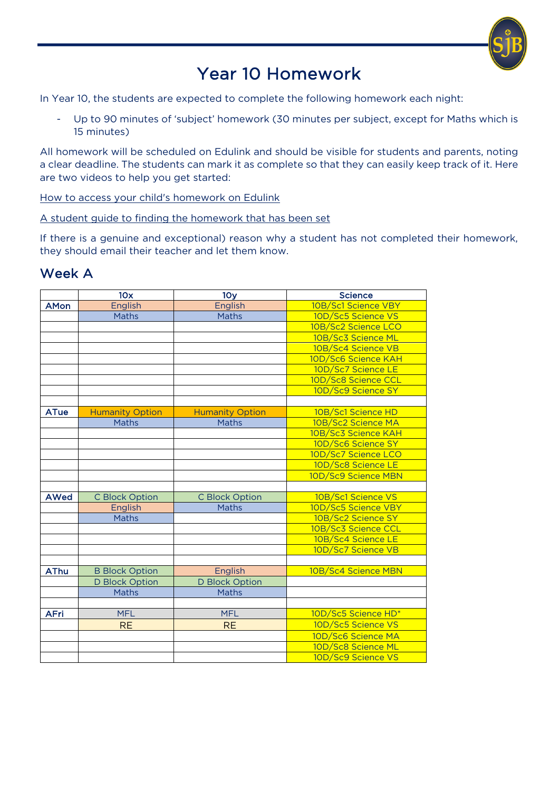

## Year 10 Homework

 $\overline{a}$ 

In Year 10, the students are expected to complete the following homework each night:

- Up to 90 minutes of 'subject' homework (30 minutes per subject, except for Maths which is 15 minutes)

All homework will be scheduled on Edulink and should be visible for students and parents, noting a clear deadline. The students can mark it as complete so that they can easily keep track of it. Here are two videos to help you get started:

How to access your child's homework on Edulink

A student guide to finding the homework that has been set

If there is a genuine and exceptional) reason why a student has not completed their homework, they should email their teacher and let them know.

## Week A

|             | 10x                    | 10 <sub>y</sub>        | <b>Science</b>      |
|-------------|------------------------|------------------------|---------------------|
| <b>AMon</b> | English                | English                | 10B/Sc1 Science VBY |
|             | Maths                  | <b>Maths</b>           | 10D/Sc5 Science VS  |
|             |                        |                        | 10B/Sc2 Science LCO |
|             |                        |                        | 10B/Sc3 Science ML  |
|             |                        |                        | 10B/Sc4 Science VB  |
|             |                        |                        | 10D/Sc6 Science KAH |
|             |                        |                        | 10D/Sc7 Science LE  |
|             |                        |                        | 10D/Sc8 Science CCL |
|             |                        |                        | 10D/Sc9 Science SY  |
|             |                        |                        |                     |
| <b>ATue</b> | <b>Humanity Option</b> | <b>Humanity Option</b> | 10B/Sc1 Science HD  |
|             | Maths                  | <b>Maths</b>           | 10B/Sc2 Science MA  |
|             |                        |                        | 10B/Sc3 Science KAH |
|             |                        |                        | 10D/Sc6 Science SY  |
|             |                        |                        | 10D/Sc7 Science LCO |
|             |                        |                        | 10D/Sc8 Science LE  |
|             |                        |                        | 10D/Sc9 Science MBN |
|             |                        |                        |                     |
| <b>AWed</b> | <b>C Block Option</b>  | <b>C Block Option</b>  | 10B/Sc1 Science VS  |
|             | English                | <b>Maths</b>           | 10D/Sc5 Science VBY |
|             | <b>Maths</b>           |                        | 10B/Sc2 Science SY  |
|             |                        |                        | 10B/Sc3 Science CCL |
|             |                        |                        | 10B/Sc4 Science LE  |
|             |                        |                        | 10D/Sc7 Science VB  |
|             |                        |                        |                     |
| <b>AThu</b> | <b>B Block Option</b>  | English                | 10B/Sc4 Science MBN |
|             | <b>D Block Option</b>  | <b>D Block Option</b>  |                     |
|             | <b>Maths</b>           | <b>Maths</b>           |                     |
|             |                        |                        |                     |
| <b>AFri</b> | <b>MFL</b>             | <b>MFL</b>             | 10D/Sc5 Science HD* |
|             | <b>RE</b>              | <b>RE</b>              | 10D/Sc5 Science VS  |
|             |                        |                        | 10D/Sc6 Science MA  |
|             |                        |                        | 10D/Sc8 Science ML  |
|             |                        |                        | 10D/Sc9 Science VS  |